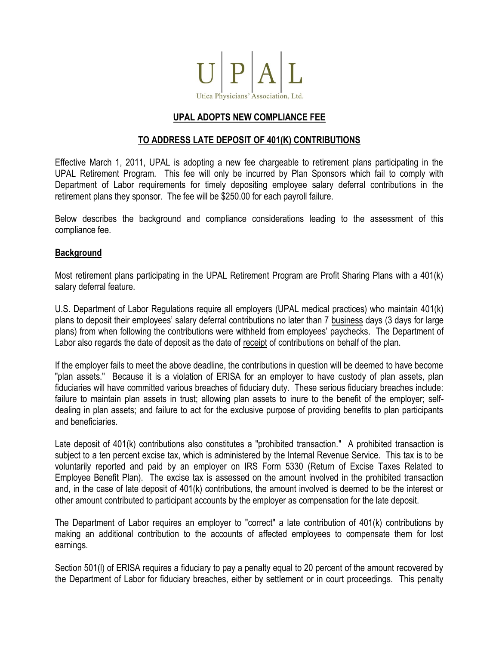

# **UPAL ADOPTS NEW COMPLIANCE FEE**

## **TO ADDRESS LATE DEPOSIT OF 401(K) CONTRIBUTIONS**

Effective March 1, 2011, UPAL is adopting a new fee chargeable to retirement plans participating in the UPAL Retirement Program. This fee will only be incurred by Plan Sponsors which fail to comply with Department of Labor requirements for timely depositing employee salary deferral contributions in the retirement plans they sponsor. The fee will be \$250.00 for each payroll failure.

Below describes the background and compliance considerations leading to the assessment of this compliance fee.

### **Background**

Most retirement plans participating in the UPAL Retirement Program are Profit Sharing Plans with a 401(k) salary deferral feature.

U.S. Department of Labor Regulations require all employers (UPAL medical practices) who maintain 401(k) plans to deposit their employees' salary deferral contributions no later than 7 business days (3 days for large plans) from when following the contributions were withheld from employees' paychecks. The Department of Labor also regards the date of deposit as the date of receipt of contributions on behalf of the plan.

If the employer fails to meet the above deadline, the contributions in question will be deemed to have become "plan assets." Because it is a violation of ERISA for an employer to have custody of plan assets, plan fiduciaries will have committed various breaches of fiduciary duty. These serious fiduciary breaches include: failure to maintain plan assets in trust; allowing plan assets to inure to the benefit of the employer; selfdealing in plan assets; and failure to act for the exclusive purpose of providing benefits to plan participants and beneficiaries.

Late deposit of 401(k) contributions also constitutes a "prohibited transaction." A prohibited transaction is subject to a ten percent excise tax, which is administered by the Internal Revenue Service. This tax is to be voluntarily reported and paid by an employer on IRS Form 5330 (Return of Excise Taxes Related to Employee Benefit Plan). The excise tax is assessed on the amount involved in the prohibited transaction and, in the case of late deposit of 401(k) contributions, the amount involved is deemed to be the interest or other amount contributed to participant accounts by the employer as compensation for the late deposit.

The Department of Labor requires an employer to "correct" a late contribution of 401(k) contributions by making an additional contribution to the accounts of affected employees to compensate them for lost earnings.

Section 501(l) of ERISA requires a fiduciary to pay a penalty equal to 20 percent of the amount recovered by the Department of Labor for fiduciary breaches, either by settlement or in court proceedings. This penalty